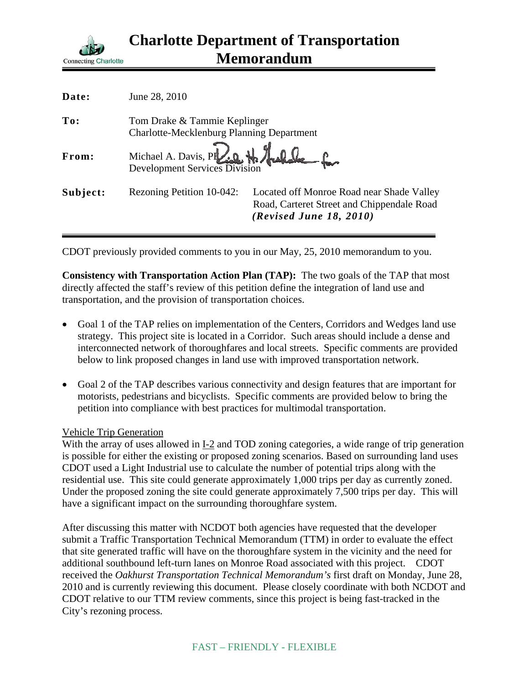

| Date:    | June 28, 2010                                                             |                                                                                                                    |
|----------|---------------------------------------------------------------------------|--------------------------------------------------------------------------------------------------------------------|
| To:      | Tom Drake & Tammie Keplinger<br>Charlotte-Mecklenburg Planning Department |                                                                                                                    |
| From:    | Michael A. Davis, PF. 0. H. Auchele for                                   |                                                                                                                    |
| Subject: | Rezoning Petition 10-042:                                                 | Located off Monroe Road near Shade Valley<br>Road, Carteret Street and Chippendale Road<br>(Revised June 18, 2010) |

CDOT previously provided comments to you in our May, 25, 2010 memorandum to you.

**Consistency with Transportation Action Plan (TAP):** The two goals of the TAP that most directly affected the staff's review of this petition define the integration of land use and transportation, and the provision of transportation choices.

- Goal 1 of the TAP relies on implementation of the Centers, Corridors and Wedges land use strategy. This project site is located in a Corridor. Such areas should include a dense and interconnected network of thoroughfares and local streets. Specific comments are provided below to link proposed changes in land use with improved transportation network.
- Goal 2 of the TAP describes various connectivity and design features that are important for motorists, pedestrians and bicyclists. Specific comments are provided below to bring the petition into compliance with best practices for multimodal transportation.

## Vehicle Trip Generation

With the array of uses allowed in I-2 and TOD zoning categories, a wide range of trip generation is possible for either the existing or proposed zoning scenarios. Based on surrounding land uses CDOT used a Light Industrial use to calculate the number of potential trips along with the residential use. This site could generate approximately 1,000 trips per day as currently zoned. Under the proposed zoning the site could generate approximately 7,500 trips per day. This will have a significant impact on the surrounding thoroughfare system.

After discussing this matter with NCDOT both agencies have requested that the developer submit a Traffic Transportation Technical Memorandum (TTM) in order to evaluate the effect that site generated traffic will have on the thoroughfare system in the vicinity and the need for additional southbound left-turn lanes on Monroe Road associated with this project. CDOT received the *Oakhurst Transportation Technical Memorandum's* first draft on Monday, June 28, 2010 and is currently reviewing this document. Please closely coordinate with both NCDOT and CDOT relative to our TTM review comments, since this project is being fast-tracked in the City's rezoning process.